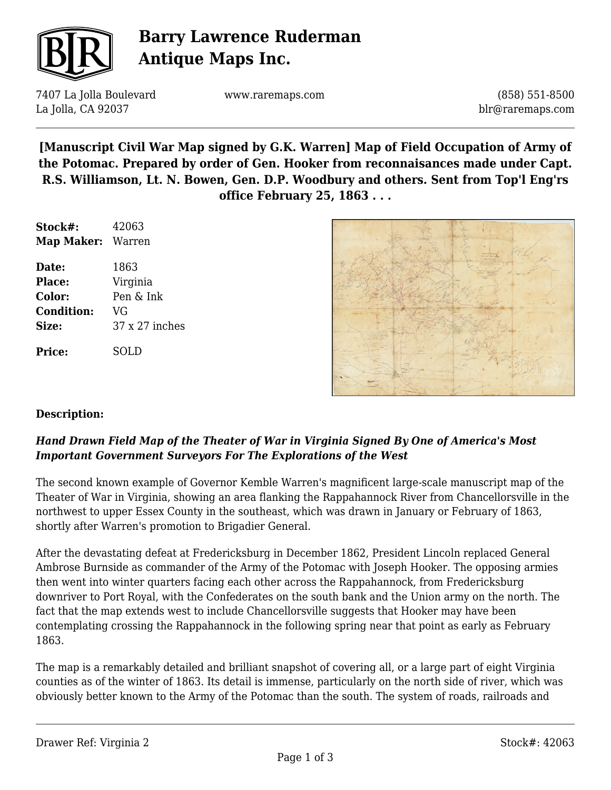

# **Barry Lawrence Ruderman Antique Maps Inc.**

7407 La Jolla Boulevard La Jolla, CA 92037

www.raremaps.com

(858) 551-8500 blr@raremaps.com

**[Manuscript Civil War Map signed by G.K. Warren] Map of Field Occupation of Army of the Potomac. Prepared by order of Gen. Hooker from reconnaisances made under Capt. R.S. Williamson, Lt. N. Bowen, Gen. D.P. Woodbury and others. Sent from Top'l Eng'rs office February 25, 1863 . . .**

| Stock#:                  | 42063          |
|--------------------------|----------------|
| <b>Map Maker: Warren</b> |                |
| Date:                    | 1863           |
| Place:                   | Virginia       |
| Color:                   | Pen & Ink      |
| <b>Condition:</b>        | VG             |
| Size:                    | 37 x 27 inches |
| <b>Price:</b>            | SOL D          |



#### **Description:**

### *Hand Drawn Field Map of the Theater of War in Virginia Signed By One of America's Most Important Government Surveyors For The Explorations of the West*

The second known example of Governor Kemble Warren's magnificent large-scale manuscript map of the Theater of War in Virginia, showing an area flanking the Rappahannock River from Chancellorsville in the northwest to upper Essex County in the southeast, which was drawn in January or February of 1863, shortly after Warren's promotion to Brigadier General.

After the devastating defeat at Fredericksburg in December 1862, President Lincoln replaced General Ambrose Burnside as commander of the Army of the Potomac with Joseph Hooker. The opposing armies then went into winter quarters facing each other across the Rappahannock, from Fredericksburg downriver to Port Royal, with the Confederates on the south bank and the Union army on the north. The fact that the map extends west to include Chancellorsville suggests that Hooker may have been contemplating crossing the Rappahannock in the following spring near that point as early as February 1863.

The map is a remarkably detailed and brilliant snapshot of covering all, or a large part of eight Virginia counties as of the winter of 1863. Its detail is immense, particularly on the north side of river, which was obviously better known to the Army of the Potomac than the south. The system of roads, railroads and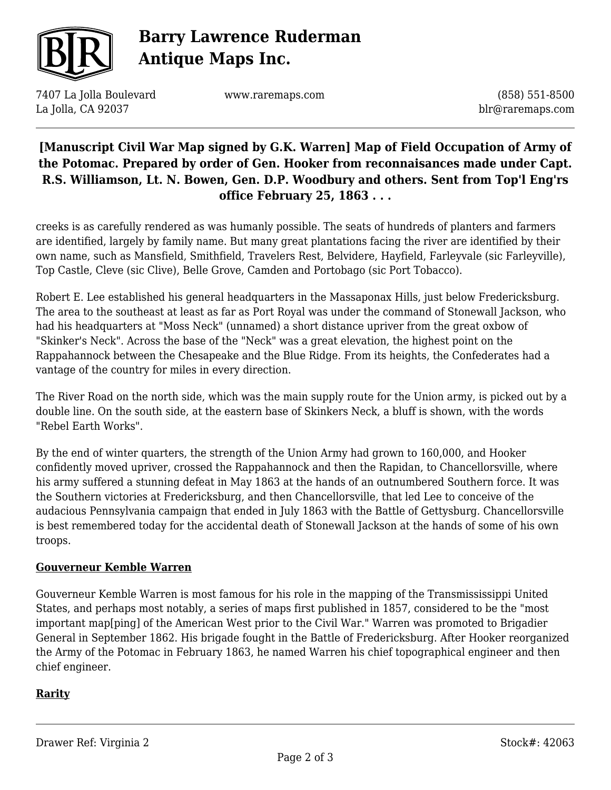

# **Barry Lawrence Ruderman Antique Maps Inc.**

7407 La Jolla Boulevard La Jolla, CA 92037

www.raremaps.com

(858) 551-8500 blr@raremaps.com

## **[Manuscript Civil War Map signed by G.K. Warren] Map of Field Occupation of Army of the Potomac. Prepared by order of Gen. Hooker from reconnaisances made under Capt. R.S. Williamson, Lt. N. Bowen, Gen. D.P. Woodbury and others. Sent from Top'l Eng'rs office February 25, 1863 . . .**

creeks is as carefully rendered as was humanly possible. The seats of hundreds of planters and farmers are identified, largely by family name. But many great plantations facing the river are identified by their own name, such as Mansfield, Smithfield, Travelers Rest, Belvidere, Hayfield, Farleyvale (sic Farleyville), Top Castle, Cleve (sic Clive), Belle Grove, Camden and Portobago (sic Port Tobacco).

Robert E. Lee established his general headquarters in the Massaponax Hills, just below Fredericksburg. The area to the southeast at least as far as Port Royal was under the command of Stonewall Jackson, who had his headquarters at "Moss Neck" (unnamed) a short distance upriver from the great oxbow of "Skinker's Neck". Across the base of the "Neck" was a great elevation, the highest point on the Rappahannock between the Chesapeake and the Blue Ridge. From its heights, the Confederates had a vantage of the country for miles in every direction.

The River Road on the north side, which was the main supply route for the Union army, is picked out by a double line. On the south side, at the eastern base of Skinkers Neck, a bluff is shown, with the words "Rebel Earth Works".

By the end of winter quarters, the strength of the Union Army had grown to 160,000, and Hooker confidently moved upriver, crossed the Rappahannock and then the Rapidan, to Chancellorsville, where his army suffered a stunning defeat in May 1863 at the hands of an outnumbered Southern force. It was the Southern victories at Fredericksburg, and then Chancellorsville, that led Lee to conceive of the audacious Pennsylvania campaign that ended in July 1863 with the Battle of Gettysburg. Chancellorsville is best remembered today for the accidental death of Stonewall Jackson at the hands of some of his own troops.

#### **Gouverneur Kemble Warren**

Gouverneur Kemble Warren is most famous for his role in the mapping of the Transmississippi United States, and perhaps most notably, a series of maps first published in 1857, considered to be the "most important map[ping] of the American West prior to the Civil War." Warren was promoted to Brigadier General in September 1862. His brigade fought in the Battle of Fredericksburg. After Hooker reorganized the Army of the Potomac in February 1863, he named Warren his chief topographical engineer and then chief engineer.

#### **Rarity**